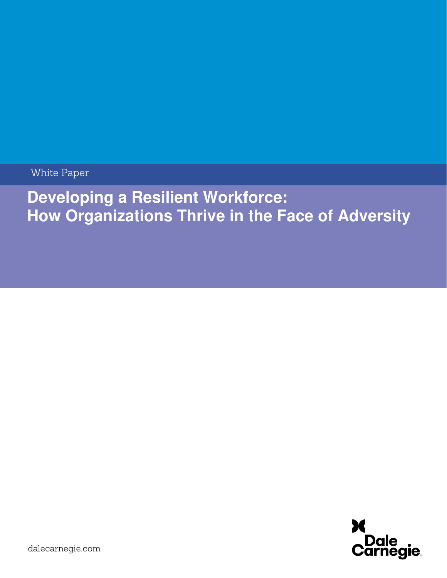White Paper

# **Developing a Resilient Workforce: How Organizations Thrive in the Face of Adversity**

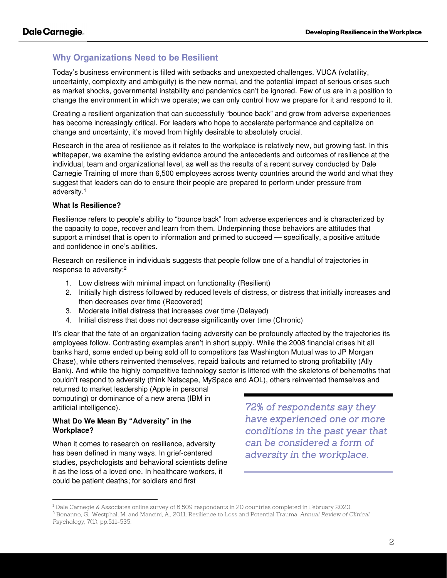# **Why Organizations Need to be Resilient**

Today's business environment is filled with setbacks and unexpected challenges. VUCA (volatility, uncertainty, complexity and ambiguity) is the new normal, and the potential impact of serious crises such as market shocks, governmental instability and pandemics can't be ignored. Few of us are in a position to change the environment in which we operate; we can only control how we prepare for it and respond to it.

Creating a resilient organization that can successfully "bounce back" and grow from adverse experiences has become increasingly critical. For leaders who hope to accelerate performance and capitalize on change and uncertainty, it's moved from highly desirable to absolutely crucial.

Research in the area of resilience as it relates to the workplace is relatively new, but growing fast. In this whitepaper, we examine the existing evidence around the antecedents and outcomes of resilience at the individual, team and organizational level, as well as the results of a recent survey conducted by Dale Carnegie Training of more than 6,500 employees across twenty countries around the world and what they suggest that leaders can do to ensure their people are prepared to perform under pressure from adversity.<sup>1</sup>

## **What Is Resilience?**

Resilience refers to people's ability to "bounce back" from adverse experiences and is characterized by the capacity to cope, recover and learn from them. Underpinning those behaviors are attitudes that support a mindset that is open to information and primed to succeed — specifically, a positive attitude and confidence in one's abilities.

Research on resilience in individuals suggests that people follow one of a handful of trajectories in response to adversity:<sup>2</sup>

- 1. Low distress with minimal impact on functionality (Resilient)
- 2. Initially high distress followed by reduced levels of distress, or distress that initially increases and then decreases over time (Recovered)
- 3. Moderate initial distress that increases over time (Delayed)
- 4. Initial distress that does not decrease significantly over time (Chronic)

It's clear that the fate of an organization facing adversity can be profoundly affected by the trajectories its employees follow. Contrasting examples aren't in short supply. While the 2008 financial crises hit all banks hard, some ended up being sold off to competitors (as Washington Mutual was to JP Morgan Chase), while others reinvented themselves, repaid bailouts and returned to strong profitability (Ally Bank). And while the highly competitive technology sector is littered with the skeletons of behemoths that couldn't respond to adversity (think Netscape, MySpace and AOL), others reinvented themselves and

returned to market leadership (Apple in personal computing) or dominance of a new arena (IBM in artificial intelligence).

## **What Do We Mean By "Adversity" in the Workplace?**

When it comes to research on resilience, adversity has been defined in many ways. In grief-centered studies, psychologists and behavioral scientists define it as the loss of a loved one. In healthcare workers, it could be patient deaths; for soldiers and first

*72% of respondents say they have experienced one or more conditions conditionsin the past year in the yearthat can be considered a form of adversity in the workplace. adversity workplace.* 

<sup>1</sup> Dale Carnegie & Associates online survey of 6,509 respondents in 20 countries completed in February 2020.

<sup>2</sup> Bonanno, G., Westphal, M. and Mancini, A., 2011. Resilience to Loss and Potential Trauma. *Annual Review of Clinical Psychology*, 7(1), pp.511-535.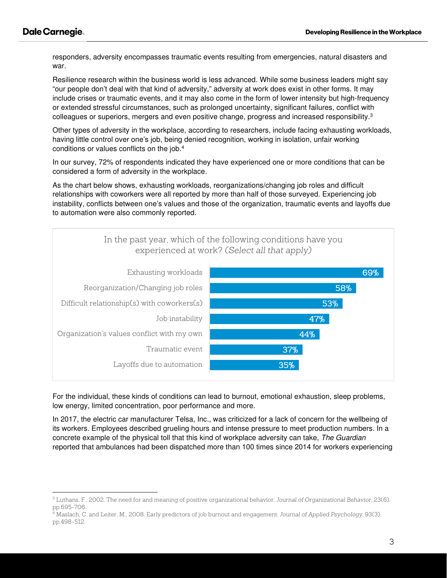responders, adversity encompasses traumatic events resulting from emergencies, natural disasters and war.

Resilience research within the business world is less advanced. While some business leaders might say "our people don't deal with that kind of adversity," adversity at work does exist in other forms. It may include crises or traumatic events, and it may also come in the form of lower intensity but high-frequency or extended stressful circumstances, such as prolonged uncertainty, significant failures, conflict with colleagues or superiors, mergers and even positive change, progress and increased responsibility. $3$ 

Other types of adversity in the workplace, according to researchers, include facing exhausting workloads, having little control over one's job, being denied recognition, working in isolation, unfair working conditions or values conflicts on the job.<sup>4</sup>

In our survey, 72% of respondents indicated they have experienced one or more conditions that can be considered a form of adversity in the workplace.

As the chart below shows, exhausting workloads, reorganizations/changing job roles and difficult relationships with coworkers were all reported by more than half of those surveyed. Experiencing job instability, conflicts between one's values and those of the organization, traumatic events and layoffs due to automation were also commonly reported.



For the individual, these kinds of conditions can lead to burnout, emotional exhaustion, sleep problems, low energy, limited concentration, poor performance and more.

In 2017, the electric car manufacturer Telsa, Inc., was criticized for a lack of concern for the wellbeing of its workers. Employees described grueling hours and intense pressure to meet production numbers. In a concrete example of the physical toll that this kind of workplace adversity can take, The Guardian reported that ambulances had been dispatched more than 100 times since 2014 for workers experiencing

<sup>3</sup> Luthans, F., 2002. The need for and meaning of positive organizational behavior. *Journal of Organizational Behavior*, 23(6), pp.695-706.

<sup>4</sup> Maslach, C. and Leiter, M., 2008. Early predictors of job burnout and engagement. *Journal of Applied Psychology*, 93(3), pp.498-512.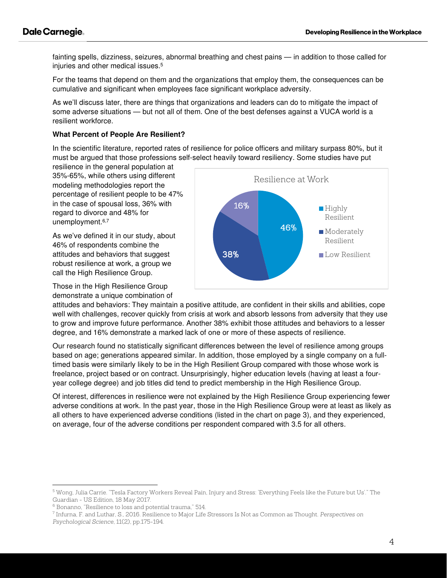fainting spells, dizziness, seizures, abnormal breathing and chest pains — in addition to those called for injuries and other medical issues.<sup>5</sup>

For the teams that depend on them and the organizations that employ them, the consequences can be cumulative and significant when employees face significant workplace adversity.

As we'll discuss later, there are things that organizations and leaders can do to mitigate the impact of some adverse situations — but not all of them. One of the best defenses against a VUCA world is a resilient workforce.

#### **What Percent of People Are Resilient?**

In the scientific literature, reported rates of resilience for police officers and military surpass 80%, but it must be argued that those professions self-select heavily toward resiliency. Some studies have put

resilience in the general population at 35%-65%, while others using different modeling methodologies report the percentage of resilient people to be 47% in the case of spousal loss, 36% with regard to divorce and 48% for unemployment.<sup>6,7</sup>

As we've defined it in our study, about 46% of respondents combine the attitudes and behaviors that suggest robust resilience at work, a group we call the High Resilience Group.

Those in the High Resilience Group demonstrate a unique combination of



attitudes and behaviors: They maintain a positive attitude, are confident in their skills and abilities, cope well with challenges, recover quickly from crisis at work and absorb lessons from adversity that they use to grow and improve future performance. Another 38% exhibit those attitudes and behaviors to a lesser degree, and 16% demonstrate a marked lack of one or more of these aspects of resilience.

Our research found no statistically significant differences between the level of resilience among groups based on age; generations appeared similar. In addition, those employed by a single company on a fulltimed basis were similarly likely to be in the High Resilient Group compared with those whose work is freelance, project based or on contract. Unsurprisingly, higher education levels (having at least a fouryear college degree) and job titles did tend to predict membership in the High Resilience Group.

Of interest, differences in resilience were not explained by the High Resilience Group experiencing fewer adverse conditions at work. In the past year, those in the High Resilience Group were at least as likely as all others to have experienced adverse conditions (listed in the chart on page 3), and they experienced, on average, four of the adverse conditions per respondent compared with 3.5 for all others.

 $^5$  Wong, Julia Carrie. "Tesla Factory Workers Reveal Pain, Injury and Stress: 'Everything Feels like the Future but Us'." The Guardian - US Edition, 18 May 2017.

<sup>6</sup> Bonanno, "Resilience to loss and potential trauma," 514.

<sup>7</sup> Infurna, F. and Luthar, S., 2016. Resilience to Major Life Stressors Is Not as Common as Thought. *Perspectives on Psychological Science*, 11(2), pp.175-194.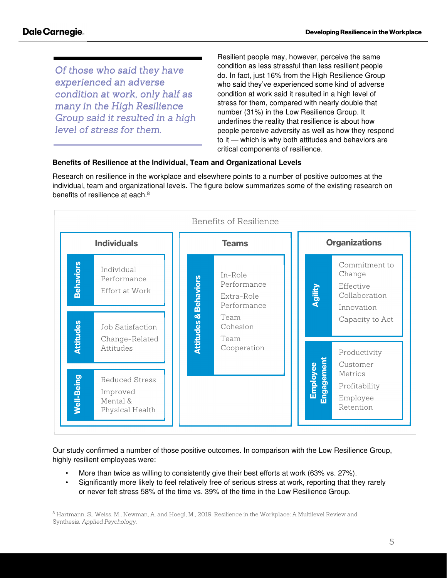*Of those who said they have experienced an anadverse adverse condition at work, work, only half as half as manyin the High Resilience in High Group said it resulted in a high level of stress for them.* 

Resilient people may, however, perceive the same condition as less stressful than less resilient people do. In fact, just 16% from the High Resilience Group who said they've experienced some kind of adverse condition at work said it resulted in a high level of stress for them, compared with nearly double that number (31%) in the Low Resilience Group. It underlines the reality that resilience is about how people perceive adversity as well as how they respond to it — which is why both attitudes and behaviors are critical components of resilience.

# **Benefits of Resilience at the Individual, Team and Organizational Levels**

Research on resilience in the workplace and elsewhere points to a number of positive outcomes at the individual, team and organizational levels. The figure below summarizes some of the existing research on benefits of resilience at each.<sup>8</sup>



Our study confirmed a number of those positive outcomes. In comparison with the Low Resilience Group, highly resilient employees were:

- More than twice as willing to consistently give their best efforts at work (63% vs. 27%).
- Significantly more likely to feel relatively free of serious stress at work, reporting that they rarely or never felt stress 58% of the time vs. 39% of the time in the Low Resilience Group.

 $^8$  Hartmann, S., Weiss, M., Newman, A. and Hoegl, M., 2019. Resilience in the Workplace: A Multilevel Review and Synthesis. *Applied Psychology*.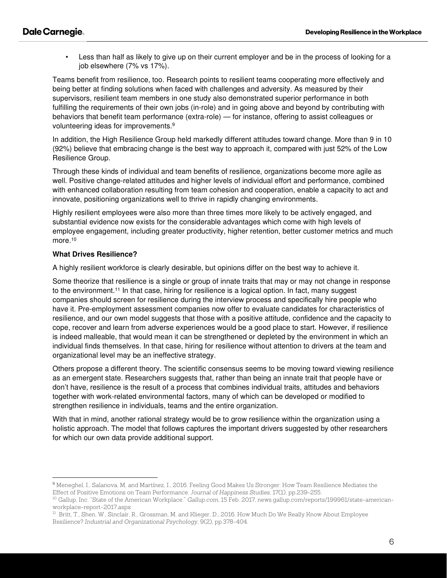Less than half as likely to give up on their current employer and be in the process of looking for a job elsewhere (7% vs 17%).

Teams benefit from resilience, too. Research points to resilient teams cooperating more effectively and being better at finding solutions when faced with challenges and adversity. As measured by their supervisors, resilient team members in one study also demonstrated superior performance in both fulfilling the requirements of their own jobs (in-role) and in going above and beyond by contributing with behaviors that benefit team performance (extra-role) — for instance, offering to assist colleagues or volunteering ideas for improvements.<sup>9</sup>

In addition, the High Resilience Group held markedly different attitudes toward change. More than 9 in 10 (92%) believe that embracing change is the best way to approach it, compared with just 52% of the Low Resilience Group.

Through these kinds of individual and team benefits of resilience, organizations become more agile as well. Positive change-related attitudes and higher levels of individual effort and performance, combined with enhanced collaboration resulting from team cohesion and cooperation, enable a capacity to act and innovate, positioning organizations well to thrive in rapidly changing environments.

Highly resilient employees were also more than three times more likely to be actively engaged, and substantial evidence now exists for the considerable advantages which come with high levels of employee engagement, including greater productivity, higher retention, better customer metrics and much more.<sup>10</sup>

#### **What Drives Resilience?**

A highly resilient workforce is clearly desirable, but opinions differ on the best way to achieve it.

Some theorize that resilience is a single or group of innate traits that may or may not change in response to the environment.<sup>11</sup> In that case, hiring for resilience is a logical option. In fact, many suggest companies should screen for resilience during the interview process and specifically hire people who have it. Pre-employment assessment companies now offer to evaluate candidates for characteristics of resilience, and our own model suggests that those with a positive attitude, confidence and the capacity to cope, recover and learn from adverse experiences would be a good place to start. However, if resilience is indeed malleable, that would mean it can be strengthened or depleted by the environment in which an individual finds themselves. In that case, hiring for resilience without attention to drivers at the team and organizational level may be an ineffective strategy.

Others propose a different theory. The scientific consensus seems to be moving toward viewing resilience as an emergent state. Researchers suggests that, rather than being an innate trait that people have or don't have, resilience is the result of a process that combines individual traits, attitudes and behaviors together with work-related environmental factors, many of which can be developed or modified to strengthen resilience in individuals, teams and the entire organization.

With that in mind, another rational strategy would be to grow resilience within the organization using a holistic approach. The model that follows captures the important drivers suggested by other researchers for which our own data provide additional support.

<sup>9</sup> Meneghel, I., Salanova, M. and Martínez, I., 2016. Feeling Good Makes Us Stronger: How Team Resilience Mediates the Effect of Positive Emotions on Team Performance. *Journal of Happiness Studies*, 17(1), pp.239-255.

<sup>10</sup> Gallup, Inc. "State of the American Workplace." *Gallup.com*, 15 Feb. 2017, news.gallup.com/reports/199961/state-americanworkplace-report-2017.aspx

<sup>&</sup>lt;sup>11</sup> Britt, T., Shen, W., Sinclair, R., Grossman, M. and Klieger, D., 2016. How Much Do We Really Know About Employee Resilience? *Industrial and Organizational Psychology*, 9(2), pp.378-404.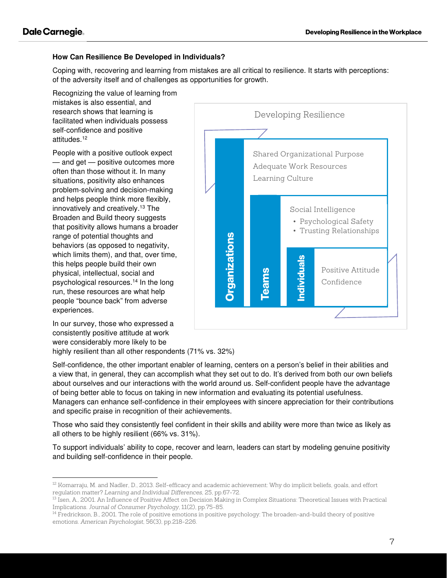## **How Can Resilience Be Developed in Individuals?**

Coping with, recovering and learning from mistakes are all critical to resilience. It starts with perceptions: of the adversity itself and of challenges as opportunities for growth.

Recognizing the value of learning from mistakes is also essential, and research shows that learning is facilitated when individuals possess self-confidence and positive attitudes.<sup>12</sup>

People with a positive outlook expect — and get — positive outcomes more often than those without it. In many situations, positivity also enhances problem-solving and decision-making and helps people think more flexibly, innovatively and creatively.<sup>13</sup> The Broaden and Build theory suggests that positivity allows humans a broader range of potential thoughts and behaviors (as opposed to negativity, which limits them), and that, over time, this helps people build their own physical, intellectual, social and psychological resources.<sup>14</sup> In the long run, these resources are what help people "bounce back" from adverse experiences.

In our survey, those who expressed a consistently positive attitude at work were considerably more likely to be highly resilient than all other respondents (71% vs. 32%)



Self-confidence, the other important enabler of learning, centers on a person's belief in their abilities and a view that, in general, they can accomplish what they set out to do. It's derived from both our own beliefs about ourselves and our interactions with the world around us. Self-confident people have the advantage of being better able to focus on taking in new information and evaluating its potential usefulness. Managers can enhance self-confidence in their employees with sincere appreciation for their contributions and specific praise in recognition of their achievements.

Those who said they consistently feel confident in their skills and ability were more than twice as likely as all others to be highly resilient (66% vs. 31%).

To support individuals' ability to cope, recover and learn, leaders can start by modeling genuine positivity and building self-confidence in their people.

<sup>12</sup> Komarraju, M. and Nadler, D., 2013. Self-efficacy and academic achievement: Why do implicit beliefs, goals, and effort regulation matter? *Learning and Individual Differences*, 25, pp.67-72.

<sup>13</sup> Isen, A., 2001. An Influence of Positive Affect on Decision Making in Complex Situations: Theoretical Issues with Practical Implications. *Journal of Consumer Psychology*, 11(2), pp.75-85.

<sup>&</sup>lt;sup>14</sup> Fredrickson, B., 2001. The role of positive emotions in positive psychology: The broaden-and-build theory of positive emotions. *American Psychologist*, 56(3), pp.218-226.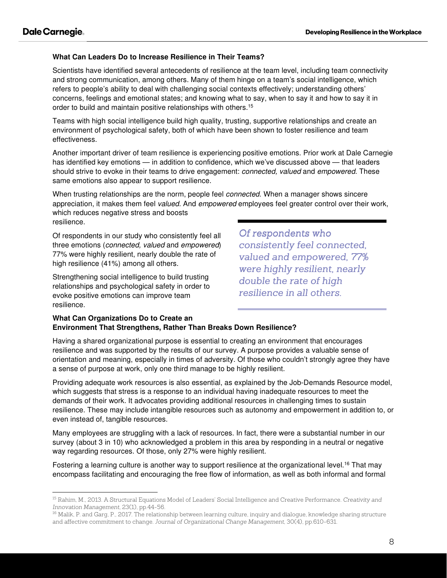#### **What Can Leaders Do to Increase Resilience in Their Teams?**

Scientists have identified several antecedents of resilience at the team level, including team connectivity and strong communication, among others. Many of them hinge on a team's social intelligence, which refers to people's ability to deal with challenging social contexts effectively; understanding others' concerns, feelings and emotional states; and knowing what to say, when to say it and how to say it in order to build and maintain positive relationships with others.<sup>15</sup>

Teams with high social intelligence build high quality, trusting, supportive relationships and create an environment of psychological safety, both of which have been shown to foster resilience and team effectiveness.

Another important driver of team resilience is experiencing positive emotions. Prior work at Dale Carnegie has identified key emotions — in addition to confidence, which we've discussed above — that leaders should strive to evoke in their teams to drive engagement: *connected, valued* and *empowered*. These same emotions also appear to support resilience.

When trusting relationships are the norm, people feel *connected*. When a manager shows sincere appreciation, it makes them feel valued. And empowered employees feel greater control over their work, which reduces negative stress and boosts resilience.

Of respondents in our study who consistently feel all three emotions (connected, valued and empowered) 77% were highly resilient, nearly double the rate of high resilience (41%) among all others.

Strengthening social intelligence to build trusting relationships and psychological safety in order to evoke positive emotions can improve team resilience.

*Of respondents who consistently feel connected, consistently connected,*  valued and empowered, 77% *were highly resilient, nearly double the rate of high resilience in all others. in others.* 

#### **What Can Organizations Do to Create an Environment That Strengthens, Rather Than Breaks Down Resilience?**

Having a shared organizational purpose is essential to creating an environment that encourages resilience and was supported by the results of our survey. A purpose provides a valuable sense of orientation and meaning, especially in times of adversity. Of those who couldn't strongly agree they have a sense of purpose at work, only one third manage to be highly resilient.

Providing adequate work resources is also essential, as explained by the Job-Demands Resource model, which suggests that stress is a response to an individual having inadequate resources to meet the demands of their work. It advocates providing additional resources in challenging times to sustain resilience. These may include intangible resources such as autonomy and empowerment in addition to, or even instead of, tangible resources.

Many employees are struggling with a lack of resources. In fact, there were a substantial number in our survey (about 3 in 10) who acknowledged a problem in this area by responding in a neutral or negative way regarding resources. Of those, only 27% were highly resilient.

Fostering a learning culture is another way to support resilience at the organizational level.<sup>16</sup> That may encompass facilitating and encouraging the free flow of information, as well as both informal and formal

<sup>15</sup> Rahim, M., 2013. A Structural Equations Model of Leaders' Social Intelligence and Creative Performance. *Creativity and Innovation Management*, 23(1), pp.44-56.

<sup>&</sup>lt;sup>16</sup> Malik, P. and Garg, P., 2017. The relationship between learning culture, inquiry and dialogue, knowledge sharing structure and affective commitment to change. *Journal of Organizational Change Management*, 30(4), pp.610-631.